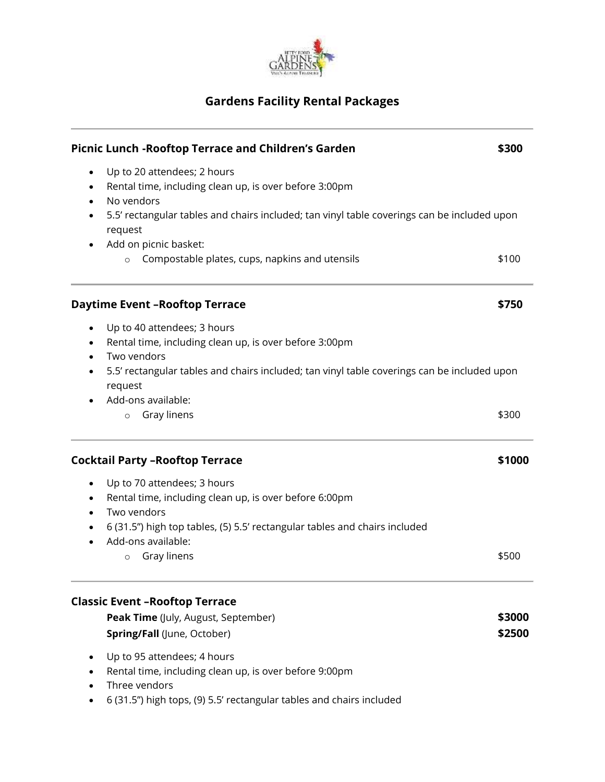

## **Gardens Facility Rental Packages**

| Picnic Lunch - Rooftop Terrace and Children's Garden<br>\$300 |                                                                                                        |        |
|---------------------------------------------------------------|--------------------------------------------------------------------------------------------------------|--------|
| ٠<br>$\bullet$                                                | Up to 20 attendees; 2 hours<br>Rental time, including clean up, is over before 3:00pm<br>No vendors    |        |
|                                                               | 5.5' rectangular tables and chairs included; tan vinyl table coverings can be included upon<br>request |        |
|                                                               | Add on picnic basket:<br>Compostable plates, cups, napkins and utensils<br>$\circ$                     | \$100  |
|                                                               | <b>Daytime Event - Rooftop Terrace</b>                                                                 | \$750  |
| $\bullet$                                                     | Up to 40 attendees; 3 hours<br>Rental time, including clean up, is over before 3:00pm<br>Two vendors   |        |
|                                                               | 5.5' rectangular tables and chairs included; tan vinyl table coverings can be included upon<br>request |        |
|                                                               | Add-ons available:<br>Gray linens<br>$\circ$                                                           | \$300  |
|                                                               | <b>Cocktail Party - Rooftop Terrace</b>                                                                | \$1000 |
| ٠                                                             | Up to 70 attendees; 3 hours                                                                            |        |
|                                                               | Rental time, including clean up, is over before 6:00pm                                                 |        |
| $\bullet$                                                     | Two vendors                                                                                            |        |
|                                                               | 6 (31.5") high top tables, (5) 5.5' rectangular tables and chairs included                             |        |
|                                                               | Add-ons available:                                                                                     |        |
|                                                               | Gray linens<br>$\circ$                                                                                 | \$500  |
|                                                               | <b>Classic Event - Rooftop Terrace</b>                                                                 |        |
|                                                               | Peak Time (July, August, September)                                                                    | \$3000 |
|                                                               | Spring/Fall (June, October)                                                                            | \$2500 |
|                                                               | Up to 95 attendees; 4 hours                                                                            |        |
|                                                               | Rental time, including clean up, is over before 9:00pm<br>Three vendors                                |        |

6 (31.5") high tops, (9) 5.5' rectangular tables and chairs included